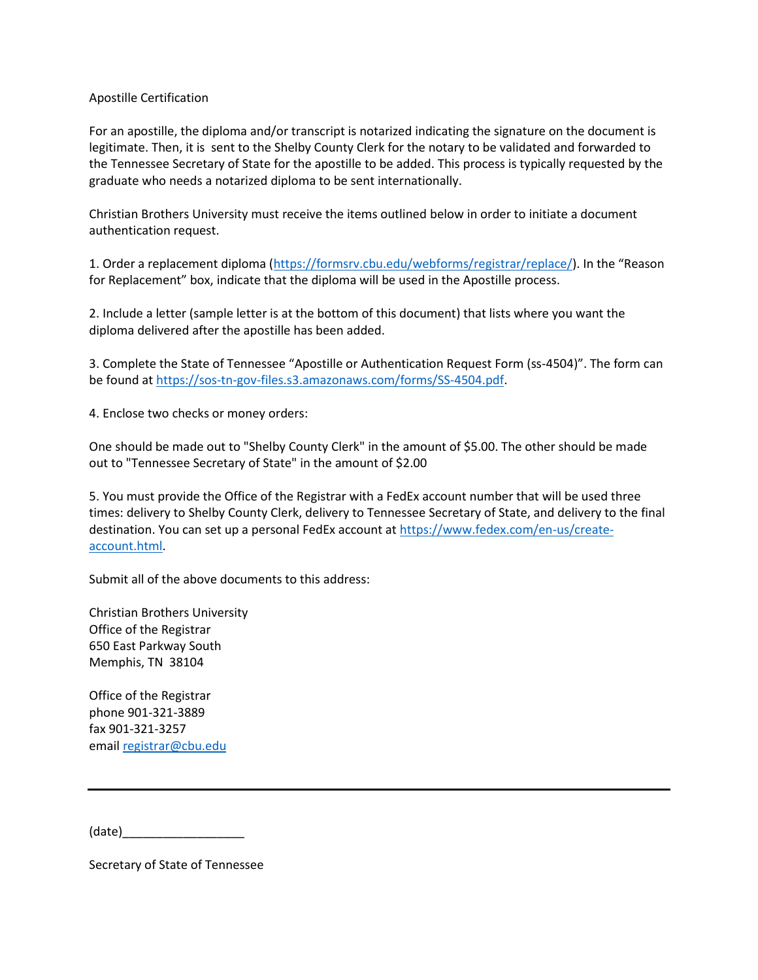## Apostille Certification

For an apostille, the diploma and/or transcript is notarized indicating the signature on the document is legitimate. Then, it is sent to the Shelby County Clerk for the notary to be validated and forwarded to the Tennessee Secretary of State for the apostille to be added. This process is typically requested by the graduate who needs a notarized diploma to be sent internationally.

Christian Brothers University must receive the items outlined below in order to initiate a document authentication request.

1. Order a replacement diploma [\(https://formsrv.cbu.edu/webforms/registrar/replace/](https://formsrv.cbu.edu/webforms/registrar/replace/)). In the "Reason for Replacement" box, indicate that the diploma will be used in the Apostille process.

2. Include a letter (sample letter is at the bottom of this document) that lists where you want the diploma delivered after the apostille has been added.

3. Complete the State of Tennessee "Apostille or Authentication Request Form (ss-4504)". The form can be found at [https://sos-tn-gov-files.s3.amazonaws.com/forms/SS-4504.pdf.](https://sos-tn-gov-files.s3.amazonaws.com/forms/SS-4504.pdf)

4. Enclose two checks or money orders:

One should be made out to "Shelby County Clerk" in the amount of \$5.00. The other should be made out to "Tennessee Secretary of State" in the amount of \$2.00

5. You must provide the Office of the Registrar with a FedEx account number that will be used three times: delivery to Shelby County Clerk, delivery to Tennessee Secretary of State, and delivery to the final destination. You can set up a personal FedEx account at [https://www.fedex.com/en-us/create](https://www.fedex.com/en-us/create-account.html)[account.html.](https://www.fedex.com/en-us/create-account.html)

Submit all of the above documents to this address:

Christian Brothers University Office of the Registrar 650 East Parkway South Memphis, TN 38104

Office of the Registrar phone 901-321-3889 fax 901-321-3257 email [registrar@cbu.edu](mailto:registrar@cbu.edu)

(date)\_\_\_\_\_\_\_\_\_\_\_\_\_\_\_\_\_\_

Secretary of State of Tennessee